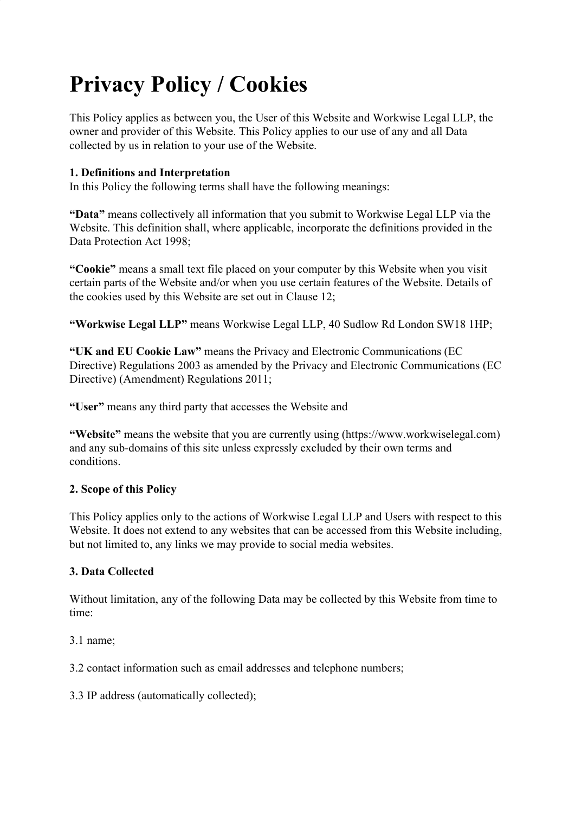# **Privacy Policy / Cookies**

This Policy applies as between you, the User of this Website and Workwise Legal LLP, the owner and provider of this Website. This Policy applies to our use of any and all Data collected by us in relation to your use of the Website.

## **1. Definitions and Interpretation**

In this Policy the following terms shall have the following meanings:

**"Data"** means collectively all information that you submit to Workwise Legal LLP via the Website. This definition shall, where applicable, incorporate the definitions provided in the Data Protection Act 1998;

**"Cookie"** means a small text file placed on your computer by this Website when you visit certain parts of the Website and/or when you use certain features of the Website. Details of the cookies used by this Website are set out in Clause 12;

**"Workwise Legal LLP"** means Workwise Legal LLP, 40 Sudlow Rd London SW18 1HP;

**"UK and EU Cookie Law"** means the Privacy and Electronic Communications (EC Directive) Regulations 2003 as amended by the Privacy and Electronic Communications (EC Directive) (Amendment) Regulations 2011;

**"User"** means any third party that accesses the Website and

**"Website"** means the website that you are currently using (https://www.workwiselegal.com) and any sub-domains of this site unless expressly excluded by their own terms and conditions.

#### **2. Scope of this Policy**

This Policy applies only to the actions of Workwise Legal LLP and Users with respect to this Website. It does not extend to any websites that can be accessed from this Website including, but not limited to, any links we may provide to social media websites.

#### **3. Data Collected**

Without limitation, any of the following Data may be collected by this Website from time to time:

3.1 name;

3.2 contact information such as email addresses and telephone numbers;

3.3 IP address (automatically collected);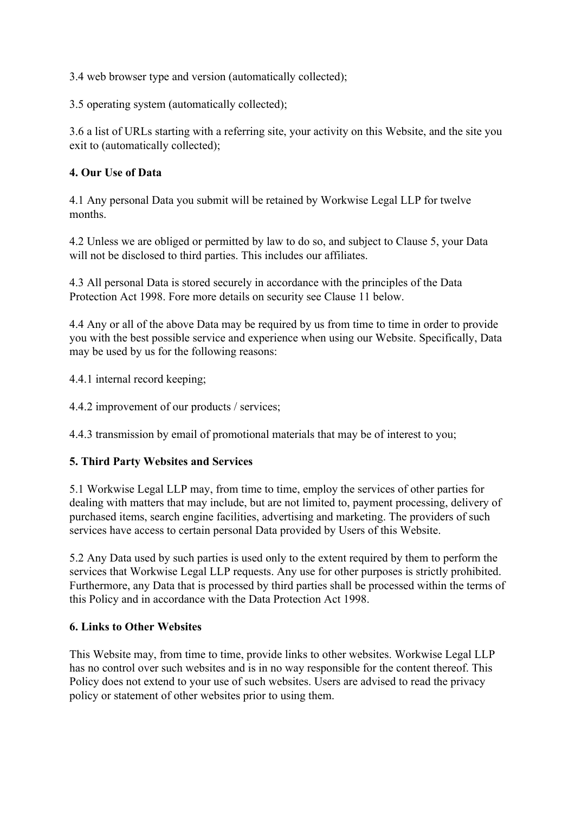3.4 web browser type and version (automatically collected);

3.5 operating system (automatically collected);

3.6 a list of URLs starting with a referring site, your activity on this Website, and the site you exit to (automatically collected);

#### **4. Our Use of Data**

4.1 Any personal Data you submit will be retained by Workwise Legal LLP for twelve months.

4.2 Unless we are obliged or permitted by law to do so, and subject to Clause 5, your Data will not be disclosed to third parties. This includes our affiliates.

4.3 All personal Data is stored securely in accordance with the principles of the Data Protection Act 1998. Fore more details on security see Clause 11 below.

4.4 Any or all of the above Data may be required by us from time to time in order to provide you with the best possible service and experience when using our Website. Specifically, Data may be used by us for the following reasons:

4.4.1 internal record keeping;

4.4.2 improvement of our products / services;

4.4.3 transmission by email of promotional materials that may be of interest to you;

#### **5. Third Party Websites and Services**

5.1 Workwise Legal LLP may, from time to time, employ the services of other parties for dealing with matters that may include, but are not limited to, payment processing, delivery of purchased items, search engine facilities, advertising and marketing. The providers of such services have access to certain personal Data provided by Users of this Website.

5.2 Any Data used by such parties is used only to the extent required by them to perform the services that Workwise Legal LLP requests. Any use for other purposes is strictly prohibited. Furthermore, any Data that is processed by third parties shall be processed within the terms of this Policy and in accordance with the Data Protection Act 1998.

#### **6. Links to Other Websites**

This Website may, from time to time, provide links to other websites. Workwise Legal LLP has no control over such websites and is in no way responsible for the content thereof. This Policy does not extend to your use of such websites. Users are advised to read the privacy policy or statement of other websites prior to using them.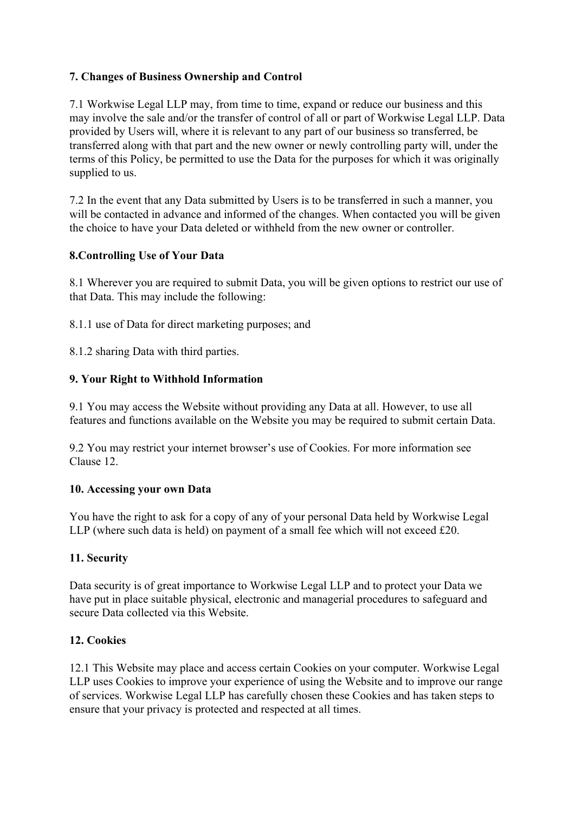## **7. Changes of Business Ownership and Control**

7.1 Workwise Legal LLP may, from time to time, expand or reduce our business and this may involve the sale and/or the transfer of control of all or part of Workwise Legal LLP. Data provided by Users will, where it is relevant to any part of our business so transferred, be transferred along with that part and the new owner or newly controlling party will, under the terms of this Policy, be permitted to use the Data for the purposes for which it was originally supplied to us.

7.2 In the event that any Data submitted by Users is to be transferred in such a manner, you will be contacted in advance and informed of the changes. When contacted you will be given the choice to have your Data deleted or withheld from the new owner or controller.

## **8.Controlling Use of Your Data**

8.1 Wherever you are required to submit Data, you will be given options to restrict our use of that Data. This may include the following:

8.1.1 use of Data for direct marketing purposes; and

8.1.2 sharing Data with third parties.

## **9. Your Right to Withhold Information**

9.1 You may access the Website without providing any Data at all. However, to use all features and functions available on the Website you may be required to submit certain Data.

9.2 You may restrict your internet browser's use of Cookies. For more information see Clause 12.

## **10. Accessing your own Data**

You have the right to ask for a copy of any of your personal Data held by Workwise Legal LLP (where such data is held) on payment of a small fee which will not exceed £20.

## **11. Security**

Data security is of great importance to Workwise Legal LLP and to protect your Data we have put in place suitable physical, electronic and managerial procedures to safeguard and secure Data collected via this Website.

## **12. Cookies**

12.1 This Website may place and access certain Cookies on your computer. Workwise Legal LLP uses Cookies to improve your experience of using the Website and to improve our range of services. Workwise Legal LLP has carefully chosen these Cookies and has taken steps to ensure that your privacy is protected and respected at all times.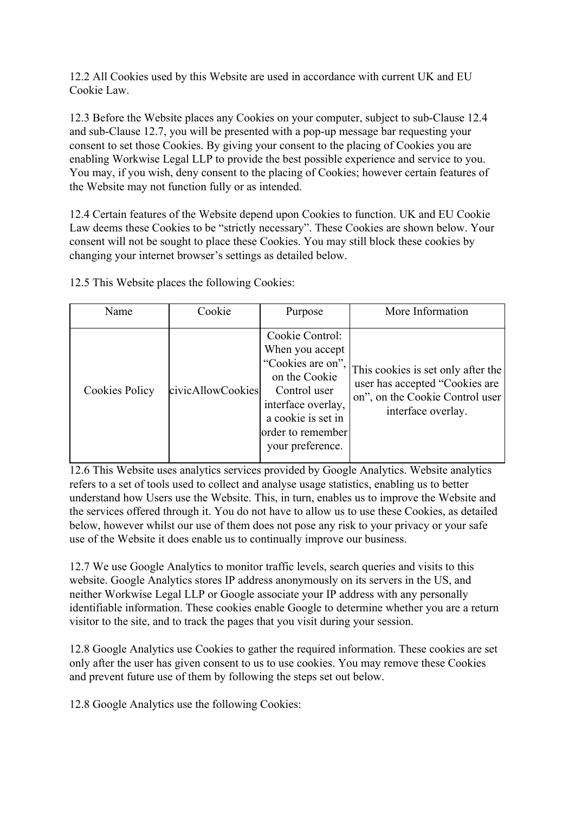12.2 All Cookies used by this Website are used in accordance with current UK and EU Cookie Law.

12.3 Before the Website places any Cookies on your computer, subject to sub-Clause 12.4 and sub-Clause 12.7, you will be presented with a pop-up message bar requesting your consent to set those Cookies. By giving your consent to the placing of Cookies you are enabling Workwise Legal LLP to provide the best possible experience and service to you. You may, if you wish, deny consent to the placing of Cookies; however certain features of the Website may not function fully or as intended.

12.4 Certain features of the Website depend upon Cookies to function. UK and EU Cookie Law deems these Cookies to be "strictly necessary". These Cookies are shown below. Your consent will not be sought to place these Cookies. You may still block these cookies by changing your internet browser's settings as detailed below.

| Name                  | Cookie            | Purpose                                                                                                                                                                       | More Information                                                                                                              |
|-----------------------|-------------------|-------------------------------------------------------------------------------------------------------------------------------------------------------------------------------|-------------------------------------------------------------------------------------------------------------------------------|
| <b>Cookies Policy</b> | civicAllowCookies | Cookie Control:<br>When you accept<br>"Cookies are on",<br>on the Cookie<br>Control user<br>interface overlay,<br>a cookie is set in<br>order to remember<br>your preference. | This cookies is set only after the<br>user has accepted "Cookies are<br>on", on the Cookie Control user<br>interface overlay. |

12.5 This Website places the following Cookies:

12.6 This Website uses analytics services provided by Google Analytics. Website analytics refers to a set of tools used to collect and analyse usage statistics, enabling us to better understand how Users use the Website. This, in turn, enables us to improve the Website and the services offered through it. You do not have to allow us to use these Cookies, as detailed below, however whilst our use of them does not pose any risk to your privacy or your safe use of the Website it does enable us to continually improve our business.

12.7 We use Google Analytics to monitor traffic levels, search queries and visits to this website. Google Analytics stores IP address anonymously on its servers in the US, and neither Workwise Legal LLP or Google associate your IP address with any personally identifiable information. These cookies enable Google to determine whether you are a return visitor to the site, and to track the pages that you visit during your session.

12.8 Google Analytics use Cookies to gather the required information. These cookies are set only after the user has given consent to us to use cookies. You may remove these Cookies and prevent future use of them by following the steps set out below.

12.8 Google Analytics use the following Cookies: